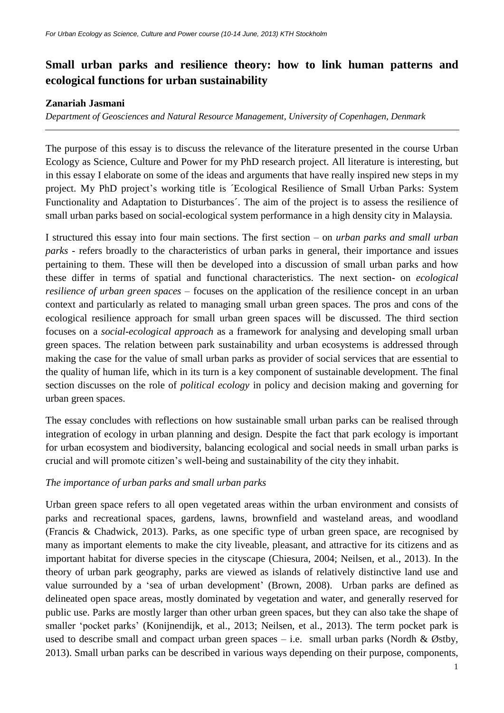# **Small urban parks and resilience theory: how to link human patterns and ecological functions for urban sustainability**

## **Zanariah Jasmani**

*Department of Geosciences and Natural Resource Management, University of Copenhagen, Denmark*

The purpose of this essay is to discuss the relevance of the literature presented in the course Urban Ecology as Science, Culture and Power for my PhD research project. All literature is interesting, but in this essay I elaborate on some of the ideas and arguments that have really inspired new steps in my project. My PhD project's working title is ´Ecological Resilience of Small Urban Parks: System Functionality and Adaptation to Disturbances´. The aim of the project is to assess the resilience of small urban parks based on social-ecological system performance in a high density city in Malaysia.

I structured this essay into four main sections. The first section – on *urban parks and small urban parks* - refers broadly to the characteristics of urban parks in general, their importance and issues pertaining to them. These will then be developed into a discussion of small urban parks and how these differ in terms of spatial and functional characteristics. The next section- on *ecological resilience of urban green spaces* – focuses on the application of the resilience concept in an urban context and particularly as related to managing small urban green spaces. The pros and cons of the ecological resilience approach for small urban green spaces will be discussed. The third section focuses on a *social-ecological approach* as a framework for analysing and developing small urban green spaces. The relation between park sustainability and urban ecosystems is addressed through making the case for the value of small urban parks as provider of social services that are essential to the quality of human life, which in its turn is a key component of sustainable development. The final section discusses on the role of *political ecology* in policy and decision making and governing for urban green spaces.

The essay concludes with reflections on how sustainable small urban parks can be realised through integration of ecology in urban planning and design. Despite the fact that park ecology is important for urban ecosystem and biodiversity, balancing ecological and social needs in small urban parks is crucial and will promote citizen's well-being and sustainability of the city they inhabit.

# *The importance of urban parks and small urban parks*

Urban green space refers to all open vegetated areas within the urban environment and consists of parks and recreational spaces, gardens, lawns, brownfield and wasteland areas, and woodland (Francis & Chadwick, 2013). Parks, as one specific type of urban green space, are recognised by many as important elements to make the city liveable, pleasant, and attractive for its citizens and as important habitat for diverse species in the cityscape (Chiesura, 2004; Neilsen, et al., 2013). In the theory of urban park geography, parks are viewed as islands of relatively distinctive land use and value surrounded by a 'sea of urban development' (Brown, 2008). Urban parks are defined as delineated open space areas, mostly dominated by vegetation and water, and generally reserved for public use. Parks are mostly larger than other urban green spaces, but they can also take the shape of smaller 'pocket parks' (Konijnendijk, et al., 2013; Neilsen, et al., 2013). The term pocket park is used to describe small and compact urban green spaces – i.e. small urban parks (Nordh & Østby, 2013). Small urban parks can be described in various ways depending on their purpose, components,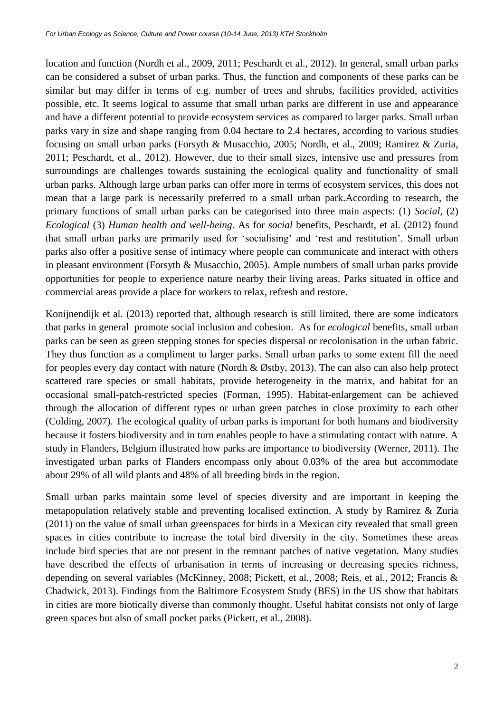location and function (Nordh et al., 2009, 2011; Peschardt et al., 2012). In general, small urban parks can be considered a subset of urban parks. Thus, the function and components of these parks can be similar but may differ in terms of e.g. number of trees and shrubs, facilities provided, activities possible, etc. It seems logical to assume that small urban parks are different in use and appearance and have a different potential to provide ecosystem services as compared to larger parks. Small urban parks vary in size and shape ranging from 0.04 hectare to 2.4 hectares, according to various studies focusing on small urban parks (Forsyth & Musacchio, 2005; Nordh, et al., 2009; Ramirez & Zuria, 2011; Peschardt, et al., 2012). However, due to their small sizes, intensive use and pressures from surroundings are challenges towards sustaining the ecological quality and functionality of small urban parks. Although large urban parks can offer more in terms of ecosystem services, this does not mean that a large park is necessarily preferred to a small urban park.According to research, the primary functions of small urban parks can be categorised into three main aspects: (1) *Social*, (2) *Ecological* (3) *Human health and well-being*. As for *social* benefits, Peschardt, et al. (2012) found that small urban parks are primarily used for 'socialising' and 'rest and restitution'. Small urban parks also offer a positive sense of intimacy where people can communicate and interact with others in pleasant environment (Forsyth & Musacchio, 2005). Ample numbers of small urban parks provide opportunities for people to experience nature nearby their living areas. Parks situated in office and commercial areas provide a place for workers to relax, refresh and restore.

Konijnendijk et al. (2013) reported that, although research is still limited, there are some indicators that parks in general promote social inclusion and cohesion. As for *ecological* benefits, small urban parks can be seen as green stepping stones for species dispersal or recolonisation in the urban fabric. They thus function as a compliment to larger parks. Small urban parks to some extent fill the need for peoples every day contact with nature (Nordh & Østby, 2013). The can also can also help protect scattered rare species or small habitats, provide heterogeneity in the matrix, and habitat for an occasional small-patch-restricted species (Forman, 1995). Habitat-enlargement can be achieved through the allocation of different types or urban green patches in close proximity to each other (Colding, 2007). The ecological quality of urban parks is important for both humans and biodiversity because it fosters biodiversity and in turn enables people to have a stimulating contact with nature. A study in Flanders, Belgium illustrated how parks are importance to biodiversity (Werner, 2011). The investigated urban parks of Flanders encompass only about 0.03% of the area but accommodate about 29% of all wild plants and 48% of all breeding birds in the region.

Small urban parks maintain some level of species diversity and are important in keeping the metapopulation relatively stable and preventing localised extinction. A study by Ramirez & Zuria (2011) on the value of small urban greenspaces for birds in a Mexican city revealed that small green spaces in cities contribute to increase the total bird diversity in the city. Sometimes these areas include bird species that are not present in the remnant patches of native vegetation. Many studies have described the effects of urbanisation in terms of increasing or decreasing species richness, depending on several variables (McKinney, 2008; Pickett, et al., 2008; Reis, et al., 2012; Francis & Chadwick, 2013). Findings from the Baltimore Ecosystem Study (BES) in the US show that habitats in cities are more biotically diverse than commonly thought. Useful habitat consists not only of large green spaces but also of small pocket parks (Pickett, et al., 2008).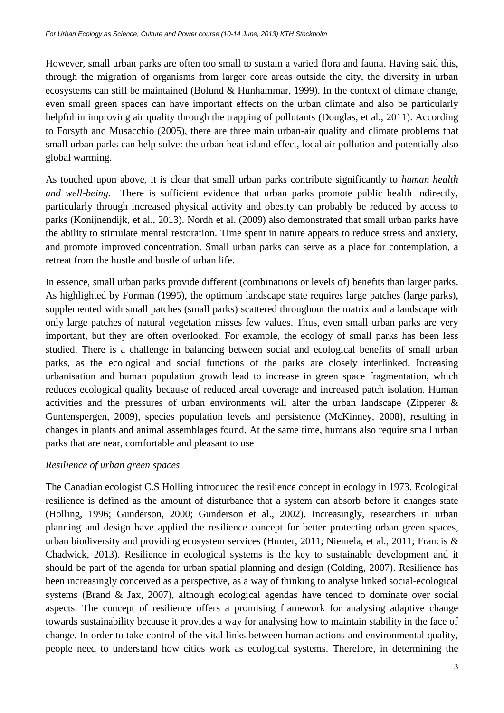However, small urban parks are often too small to sustain a varied flora and fauna. Having said this, through the migration of organisms from larger core areas outside the city, the diversity in urban ecosystems can still be maintained (Bolund & Hunhammar, 1999). In the context of climate change, even small green spaces can have important effects on the urban climate and also be particularly helpful in improving air quality through the trapping of pollutants (Douglas, et al., 2011). According to Forsyth and Musacchio (2005), there are three main urban-air quality and climate problems that small urban parks can help solve: the urban heat island effect, local air pollution and potentially also global warming.

As touched upon above, it is clear that small urban parks contribute significantly to *human health and well-being.* There is sufficient evidence that urban parks promote public health indirectly, particularly through increased physical activity and obesity can probably be reduced by access to parks (Konijnendijk, et al., 2013). Nordh et al. (2009) also demonstrated that small urban parks have the ability to stimulate mental restoration. Time spent in nature appears to reduce stress and anxiety, and promote improved concentration. Small urban parks can serve as a place for contemplation, a retreat from the hustle and bustle of urban life.

In essence, small urban parks provide different (combinations or levels of) benefits than larger parks. As highlighted by Forman (1995), the optimum landscape state requires large patches (large parks), supplemented with small patches (small parks) scattered throughout the matrix and a landscape with only large patches of natural vegetation misses few values. Thus, even small urban parks are very important, but they are often overlooked. For example, the ecology of small parks has been less studied. There is a challenge in balancing between social and ecological benefits of small urban parks, as the ecological and social functions of the parks are closely interlinked. Increasing urbanisation and human population growth lead to increase in green space fragmentation, which reduces ecological quality because of reduced areal coverage and increased patch isolation. Human activities and the pressures of urban environments will alter the urban landscape (Zipperer & Guntenspergen, 2009), species population levels and persistence (McKinney, 2008), resulting in changes in plants and animal assemblages found. At the same time, humans also require small urban parks that are near, comfortable and pleasant to use

# *Resilience of urban green spaces*

The Canadian ecologist C.S Holling introduced the resilience concept in ecology in 1973. Ecological resilience is defined as the amount of disturbance that a system can absorb before it changes state (Holling, 1996; Gunderson, 2000; Gunderson et al., 2002). Increasingly, researchers in urban planning and design have applied the resilience concept for better protecting urban green spaces, urban biodiversity and providing ecosystem services (Hunter, 2011; Niemela, et al., 2011; Francis & Chadwick, 2013). Resilience in ecological systems is the key to sustainable development and it should be part of the agenda for urban spatial planning and design (Colding, 2007). Resilience has been increasingly conceived as a perspective, as a way of thinking to analyse linked social-ecological systems (Brand & Jax, 2007), although ecological agendas have tended to dominate over social aspects. The concept of resilience offers a promising framework for analysing adaptive change towards sustainability because it provides a way for analysing how to maintain stability in the face of change. In order to take control of the vital links between human actions and environmental quality, people need to understand how cities work as ecological systems. Therefore, in determining the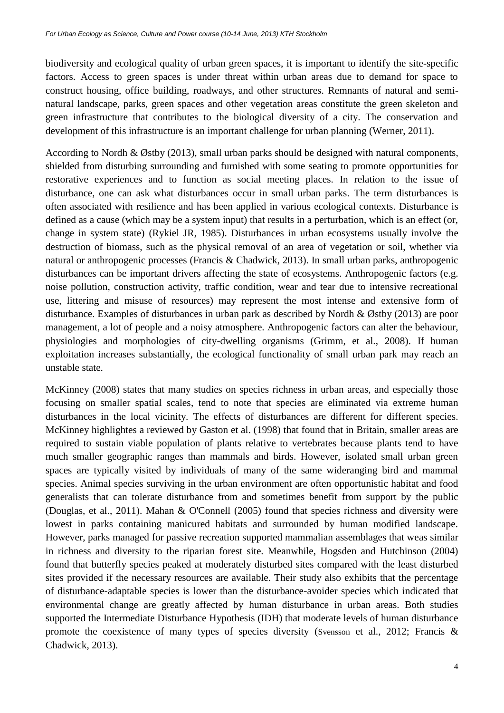biodiversity and ecological quality of urban green spaces, it is important to identify the site-specific factors. Access to green spaces is under threat within urban areas due to demand for space to construct housing, office building, roadways, and other structures. Remnants of natural and seminatural landscape, parks, green spaces and other vegetation areas constitute the green skeleton and green infrastructure that contributes to the biological diversity of a city. The conservation and development of this infrastructure is an important challenge for urban planning (Werner, 2011).

According to Nordh & Østby (2013), small urban parks should be designed with natural components, shielded from disturbing surrounding and furnished with some seating to promote opportunities for restorative experiences and to function as social meeting places. In relation to the issue of disturbance, one can ask what disturbances occur in small urban parks. The term disturbances is often associated with resilience and has been applied in various ecological contexts. Disturbance is defined as a cause (which may be a system input) that results in a perturbation, which is an effect (or, change in system state) (Rykiel JR, 1985). Disturbances in urban ecosystems usually involve the destruction of biomass, such as the physical removal of an area of vegetation or soil, whether via natural or anthropogenic processes (Francis & Chadwick, 2013). In small urban parks, anthropogenic disturbances can be important drivers affecting the state of ecosystems. Anthropogenic factors (e.g. noise pollution, construction activity, traffic condition, wear and tear due to intensive recreational use, littering and misuse of resources) may represent the most intense and extensive form of disturbance. Examples of disturbances in urban park as described by Nordh & Østby (2013) are poor management, a lot of people and a noisy atmosphere. Anthropogenic factors can alter the behaviour, physiologies and morphologies of city-dwelling organisms (Grimm, et al., 2008). If human exploitation increases substantially, the ecological functionality of small urban park may reach an unstable state.

McKinney (2008) states that many studies on species richness in urban areas, and especially those focusing on smaller spatial scales, tend to note that species are eliminated via extreme human disturbances in the local vicinity. The effects of disturbances are different for different species. McKinney highlightes a reviewed by Gaston et al. (1998) that found that in Britain, smaller areas are required to sustain viable population of plants relative to vertebrates because plants tend to have much smaller geographic ranges than mammals and birds. However, isolated small urban green spaces are typically visited by individuals of many of the same wideranging bird and mammal species. Animal species surviving in the urban environment are often opportunistic habitat and food generalists that can tolerate disturbance from and sometimes benefit from support by the public (Douglas, et al., 2011). Mahan & O'Connell (2005) found that species richness and diversity were lowest in parks containing manicured habitats and surrounded by human modified landscape. However, parks managed for passive recreation supported mammalian assemblages that weas similar in richness and diversity to the riparian forest site. Meanwhile, Hogsden and Hutchinson (2004) found that butterfly species peaked at moderately disturbed sites compared with the least disturbed sites provided if the necessary resources are available. Their study also exhibits that the percentage of disturbance-adaptable species is lower than the disturbance-avoider species which indicated that environmental change are greatly affected by human disturbance in urban areas. Both studies supported the Intermediate Disturbance Hypothesis (IDH) that moderate levels of human disturbance promote the coexistence of many types of species diversity (Svensson et al., 2012; Francis & Chadwick, 2013).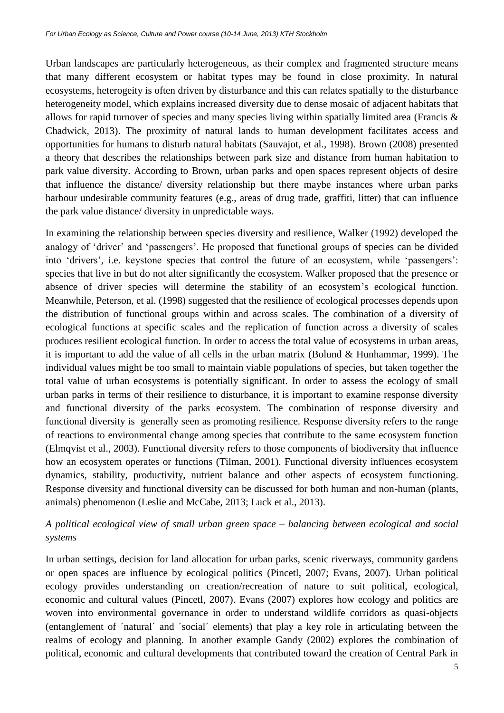Urban landscapes are particularly heterogeneous, as their complex and fragmented structure means that many different ecosystem or habitat types may be found in close proximity. In natural ecosystems, heterogeity is often driven by disturbance and this can relates spatially to the disturbance heterogeneity model, which explains increased diversity due to dense mosaic of adjacent habitats that allows for rapid turnover of species and many species living within spatially limited area (Francis & Chadwick, 2013). The proximity of natural lands to human development facilitates access and opportunities for humans to disturb natural habitats (Sauvajot, et al., 1998). Brown (2008) presented a theory that describes the relationships between park size and distance from human habitation to park value diversity. According to Brown, urban parks and open spaces represent objects of desire that influence the distance/ diversity relationship but there maybe instances where urban parks harbour undesirable community features (e.g., areas of drug trade, graffiti, litter) that can influence the park value distance/ diversity in unpredictable ways.

In examining the relationship between species diversity and resilience, Walker (1992) developed the analogy of 'driver' and 'passengers'. He proposed that functional groups of species can be divided into 'drivers', i.e. keystone species that control the future of an ecosystem, while 'passengers': species that live in but do not alter significantly the ecosystem. Walker proposed that the presence or absence of driver species will determine the stability of an ecosystem's ecological function. Meanwhile, Peterson, et al. (1998) suggested that the resilience of ecological processes depends upon the distribution of functional groups within and across scales. The combination of a diversity of ecological functions at specific scales and the replication of function across a diversity of scales produces resilient ecological function. In order to access the total value of ecosystems in urban areas, it is important to add the value of all cells in the urban matrix (Bolund & Hunhammar, 1999). The individual values might be too small to maintain viable populations of species, but taken together the total value of urban ecosystems is potentially significant. In order to assess the ecology of small urban parks in terms of their resilience to disturbance, it is important to examine response diversity and functional diversity of the parks ecosystem. The combination of response diversity and functional diversity is generally seen as promoting resilience. Response diversity refers to the range of reactions to environmental change among species that contribute to the same ecosystem function (Elmqvist et al., 2003). Functional diversity refers to those components of biodiversity that influence how an ecosystem operates or functions (Tilman, 2001). Functional diversity influences ecosystem dynamics, stability, productivity, nutrient balance and other aspects of ecosystem functioning. Response diversity and functional diversity can be discussed for both human and non-human (plants, animals) phenomenon (Leslie and McCabe, 2013; Luck et al., 2013).

# *A political ecological view of small urban green space – balancing between ecological and social systems*

In urban settings, decision for land allocation for urban parks, scenic riverways, community gardens or open spaces are influence by ecological politics (Pincetl, 2007; Evans, 2007). Urban political ecology provides understanding on creation/recreation of nature to suit political, ecological, economic and cultural values (Pincetl, 2007). Evans (2007) explores how ecology and politics are woven into environmental governance in order to understand wildlife corridors as quasi-objects (entanglement of ´natural´ and ´social´ elements) that play a key role in articulating between the realms of ecology and planning. In another example Gandy (2002) explores the combination of political, economic and cultural developments that contributed toward the creation of Central Park in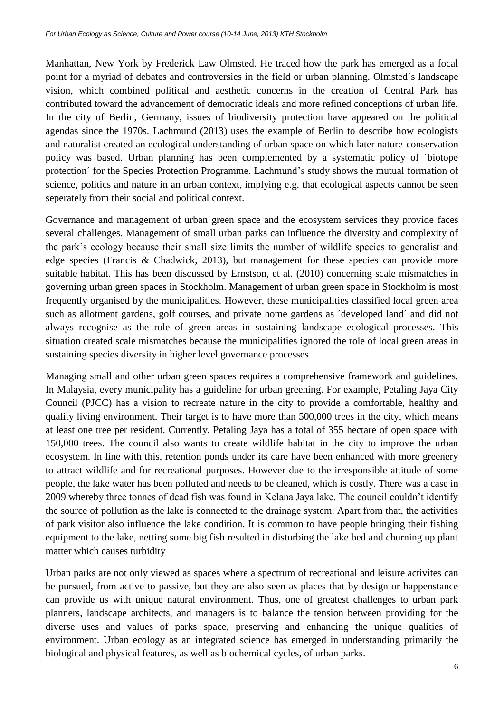Manhattan, New York by Frederick Law Olmsted. He traced how the park has emerged as a focal point for a myriad of debates and controversies in the field or urban planning. Olmsted´s landscape vision, which combined political and aesthetic concerns in the creation of Central Park has contributed toward the advancement of democratic ideals and more refined conceptions of urban life. In the city of Berlin, Germany, issues of biodiversity protection have appeared on the political agendas since the 1970s. Lachmund (2013) uses the example of Berlin to describe how ecologists and naturalist created an ecological understanding of urban space on which later nature-conservation policy was based. Urban planning has been complemented by a systematic policy of ´biotope protection´ for the Species Protection Programme. Lachmund's study shows the mutual formation of science, politics and nature in an urban context, implying e.g. that ecological aspects cannot be seen seperately from their social and political context.

Governance and management of urban green space and the ecosystem services they provide faces several challenges. Management of small urban parks can influence the diversity and complexity of the park's ecology because their small size limits the number of wildlife species to generalist and edge species (Francis & Chadwick, 2013), but management for these species can provide more suitable habitat. This has been discussed by Ernstson, et al. (2010) concerning scale mismatches in governing urban green spaces in Stockholm. Management of urban green space in Stockholm is most frequently organised by the municipalities. However, these municipalities classified local green area such as allotment gardens, golf courses, and private home gardens as ´developed land´ and did not always recognise as the role of green areas in sustaining landscape ecological processes. This situation created scale mismatches because the municipalities ignored the role of local green areas in sustaining species diversity in higher level governance processes.

Managing small and other urban green spaces requires a comprehensive framework and guidelines. In Malaysia, every municipality has a guideline for urban greening. For example, Petaling Jaya City Council (PJCC) has a vision to recreate nature in the city to provide a comfortable, healthy and quality living environment. Their target is to have more than 500,000 trees in the city, which means at least one tree per resident. Currently, Petaling Jaya has a total of 355 hectare of open space with 150,000 trees. The council also wants to create wildlife habitat in the city to improve the urban ecosystem. In line with this, retention ponds under its care have been enhanced with more greenery to attract wildlife and for recreational purposes. However due to the irresponsible attitude of some people, the lake water has been polluted and needs to be cleaned, which is costly. There was a case in 2009 whereby three tonnes of dead fish was found in Kelana Jaya lake. The council couldn't identify the source of pollution as the lake is connected to the drainage system. Apart from that, the activities of park visitor also influence the lake condition. It is common to have people bringing their fishing equipment to the lake, netting some big fish resulted in disturbing the lake bed and churning up plant matter which causes turbidity

Urban parks are not only viewed as spaces where a spectrum of recreational and leisure activites can be pursued, from active to passive, but they are also seen as places that by design or happenstance can provide us with unique natural environment. Thus, one of greatest challenges to urban park planners, landscape architects, and managers is to balance the tension between providing for the diverse uses and values of parks space, preserving and enhancing the unique qualities of environment. Urban ecology as an integrated science has emerged in understanding primarily the biological and physical features, as well as biochemical cycles, of urban parks.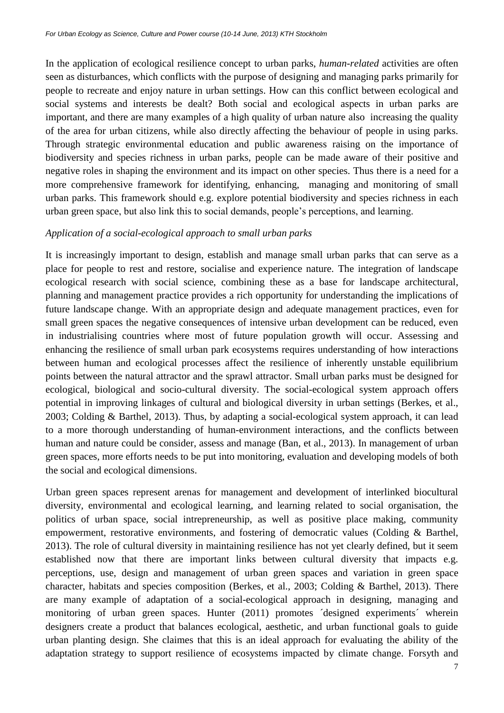In the application of ecological resilience concept to urban parks, *human-related* activities are often seen as disturbances, which conflicts with the purpose of designing and managing parks primarily for people to recreate and enjoy nature in urban settings. How can this conflict between ecological and social systems and interests be dealt? Both social and ecological aspects in urban parks are important, and there are many examples of a high quality of urban nature also increasing the quality of the area for urban citizens, while also directly affecting the behaviour of people in using parks. Through strategic environmental education and public awareness raising on the importance of biodiversity and species richness in urban parks, people can be made aware of their positive and negative roles in shaping the environment and its impact on other species. Thus there is a need for a more comprehensive framework for identifying, enhancing, managing and monitoring of small urban parks. This framework should e.g. explore potential biodiversity and species richness in each urban green space, but also link this to social demands, people's perceptions, and learning.

#### *Application of a social-ecological approach to small urban parks*

It is increasingly important to design, establish and manage small urban parks that can serve as a place for people to rest and restore, socialise and experience nature. The integration of landscape ecological research with social science, combining these as a base for landscape architectural, planning and management practice provides a rich opportunity for understanding the implications of future landscape change. With an appropriate design and adequate management practices, even for small green spaces the negative consequences of intensive urban development can be reduced, even in industrialising countries where most of future population growth will occur. Assessing and enhancing the resilience of small urban park ecosystems requires understanding of how interactions between human and ecological processes affect the resilience of inherently unstable equilibrium points between the natural attractor and the sprawl attractor. Small urban parks must be designed for ecological, biological and socio-cultural diversity. The social-ecological system approach offers potential in improving linkages of cultural and biological diversity in urban settings (Berkes, et al., 2003; Colding & Barthel, 2013). Thus, by adapting a social-ecological system approach, it can lead to a more thorough understanding of human-environment interactions, and the conflicts between human and nature could be consider, assess and manage (Ban, et al., 2013). In management of urban green spaces, more efforts needs to be put into monitoring, evaluation and developing models of both the social and ecological dimensions.

Urban green spaces represent arenas for management and development of interlinked biocultural diversity, environmental and ecological learning, and learning related to social organisation, the politics of urban space, social intrepreneurship, as well as positive place making, community empowerment, restorative environments, and fostering of democratic values (Colding & Barthel, 2013). The role of cultural diversity in maintaining resilience has not yet clearly defined, but it seem established now that there are important links between cultural diversity that impacts e.g. perceptions, use, design and management of urban green spaces and variation in green space character, habitats and species composition (Berkes, et al., 2003; Colding & Barthel, 2013). There are many example of adaptation of a social-ecological approach in designing, managing and monitoring of urban green spaces. Hunter (2011) promotes ´designed experiments´ wherein designers create a product that balances ecological, aesthetic, and urban functional goals to guide urban planting design. She claimes that this is an ideal approach for evaluating the ability of the adaptation strategy to support resilience of ecosystems impacted by climate change. Forsyth and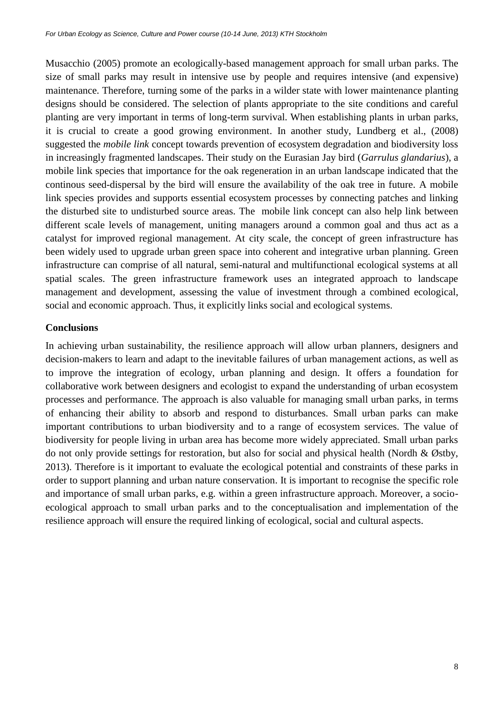Musacchio (2005) promote an ecologically-based management approach for small urban parks. The size of small parks may result in intensive use by people and requires intensive (and expensive) maintenance. Therefore, turning some of the parks in a wilder state with lower maintenance planting designs should be considered. The selection of plants appropriate to the site conditions and careful planting are very important in terms of long-term survival. When establishing plants in urban parks, it is crucial to create a good growing environment. In another study, Lundberg et al., (2008) suggested the *mobile link* concept towards prevention of ecosystem degradation and biodiversity loss in increasingly fragmented landscapes. Their study on the Eurasian Jay bird (*Garrulus glandarius*), a mobile link species that importance for the oak regeneration in an urban landscape indicated that the continous seed-dispersal by the bird will ensure the availability of the oak tree in future. A mobile link species provides and supports essential ecosystem processes by connecting patches and linking the disturbed site to undisturbed source areas. The mobile link concept can also help link between different scale levels of management, uniting managers around a common goal and thus act as a catalyst for improved regional management. At city scale, the concept of green infrastructure has been widely used to upgrade urban green space into coherent and integrative urban planning. Green infrastructure can comprise of all natural, semi-natural and multifunctional ecological systems at all spatial scales. The green infrastructure framework uses an integrated approach to landscape management and development, assessing the value of investment through a combined ecological, social and economic approach. Thus, it explicitly links social and ecological systems.

## **Conclusions**

In achieving urban sustainability, the resilience approach will allow urban planners, designers and decision-makers to learn and adapt to the inevitable failures of urban management actions, as well as to improve the integration of ecology, urban planning and design. It offers a foundation for collaborative work between designers and ecologist to expand the understanding of urban ecosystem processes and performance. The approach is also valuable for managing small urban parks, in terms of enhancing their ability to absorb and respond to disturbances. Small urban parks can make important contributions to urban biodiversity and to a range of ecosystem services. The value of biodiversity for people living in urban area has become more widely appreciated. Small urban parks do not only provide settings for restoration, but also for social and physical health (Nordh & Østby, 2013). Therefore is it important to evaluate the ecological potential and constraints of these parks in order to support planning and urban nature conservation. It is important to recognise the specific role and importance of small urban parks, e.g. within a green infrastructure approach. Moreover, a socioecological approach to small urban parks and to the conceptualisation and implementation of the resilience approach will ensure the required linking of ecological, social and cultural aspects.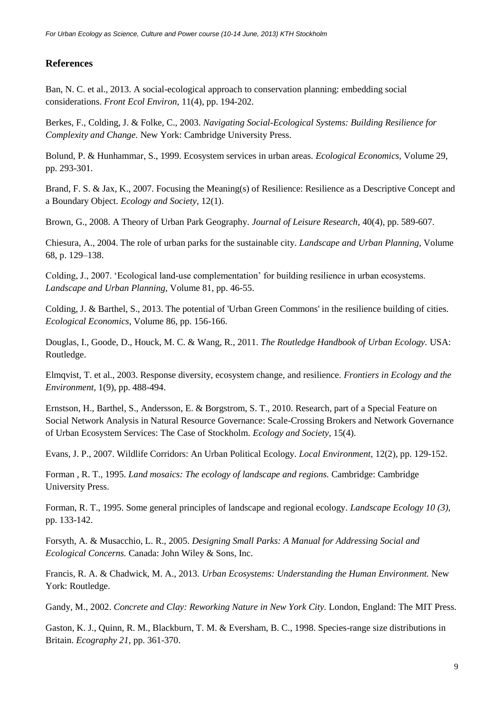### **References**

Ban, N. C. et al., 2013. A social-ecological approach to conservation planning: embedding social considerations. *Front Ecol Environ,* 11(4), pp. 194-202.

Berkes, F., Colding, J. & Folke, C., 2003. *Navigating Social-Ecological Systems: Building Resilience for Complexity and Change.* New York: Cambridge University Press.

Bolund, P. & Hunhammar, S., 1999. Ecosystem services in urban areas. *Ecological Economics,* Volume 29, pp. 293-301.

Brand, F. S. & Jax, K., 2007. Focusing the Meaning(s) of Resilience: Resilience as a Descriptive Concept and a Boundary Object. *Ecology and Society,* 12(1).

Brown, G., 2008. A Theory of Urban Park Geography. *Journal of Leisure Research,* 40(4), pp. 589-607.

Chiesura, A., 2004. The role of urban parks for the sustainable city. *Landscape and Urban Planning,* Volume 68, p. 129–138.

Colding, J., 2007. 'Ecological land-use complementation' for building resilience in urban ecosystems. *Landscape and Urban Planning,* Volume 81, pp. 46-55.

Colding, J. & Barthel, S., 2013. The potential of 'Urban Green Commons' in the resilience building of cities. *Ecological Economics,* Volume 86, pp. 156-166.

Douglas, I., Goode, D., Houck, M. C. & Wang, R., 2011. *The Routledge Handbook of Urban Ecology.* USA: Routledge.

Elmqvist, T. et al., 2003. Response diversity, ecosystem change, and resilience. *Frontiers in Ecology and the Environment,* 1(9), pp. 488-494.

Ernstson, H., Barthel, S., Andersson, E. & Borgstrom, S. T., 2010. Research, part of a Special Feature on Social Network Analysis in Natural Resource Governance: Scale-Crossing Brokers and Network Governance of Urban Ecosystem Services: The Case of Stockholm. *Ecology and Society,* 15(4).

Evans, J. P., 2007. Wildlife Corridors: An Urban Political Ecology. *Local Environment,* 12(2), pp. 129-152.

Forman , R. T., 1995. *Land mosaics: The ecology of landscape and regions.* Cambridge: Cambridge University Press.

Forman, R. T., 1995. Some general principles of landscape and regional ecology. *Landscape Ecology 10 (3),*  pp. 133-142.

Forsyth, A. & Musacchio, L. R., 2005. *Designing Small Parks: A Manual for Addressing Social and Ecological Concerns.* Canada: John Wiley & Sons, Inc.

Francis, R. A. & Chadwick, M. A., 2013. *Urban Ecosystems: Understanding the Human Environment.* New York: Routledge.

Gandy, M., 2002. *Concrete and Clay: Reworking Nature in New York City.* London, England: The MIT Press.

Gaston, K. J., Quinn, R. M., Blackburn, T. M. & Eversham, B. C., 1998. Species-range size distributions in Britain. *Ecography 21,* pp. 361-370.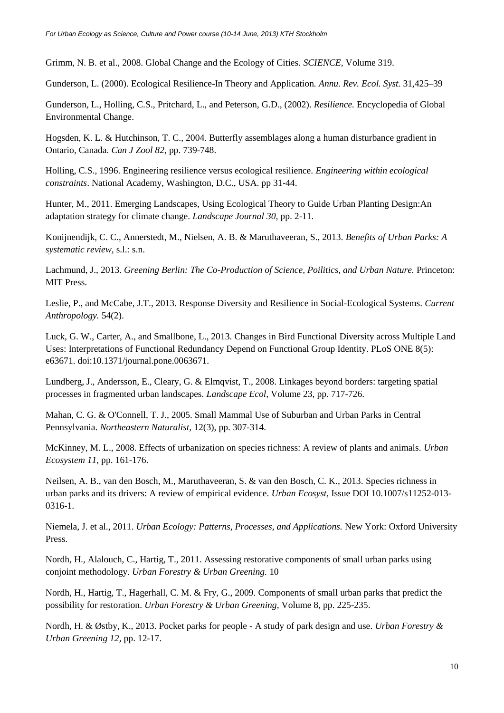Grimm, N. B. et al., 2008. Global Change and the Ecology of Cities. *SCIENCE,* Volume 319.

Gunderson, L. (2000). Ecological Resilience-In Theory and Application*. Annu. Rev. Ecol. Syst.* 31,425–39

Gunderson, L., Holling, C.S., Pritchard, L., and Peterson, G.D., (2002). *Resilience.* Encyclopedia of Global Environmental Change.

Hogsden, K. L. & Hutchinson, T. C., 2004. Butterfly assemblages along a human disturbance gradient in Ontario, Canada. *Can J Zool 82,* pp. 739-748.

Holling, C.S., 1996. Engineering resilience versus ecological resilience. *Engineering within ecological constraints*. National Academy, Washington, D.C., USA. pp 31-44.

Hunter, M., 2011. Emerging Landscapes, Using Ecological Theory to Guide Urban Planting Design:An adaptation strategy for climate change. *Landscape Journal 30,* pp. 2-11.

Konijnendijk, C. C., Annerstedt, M., Nielsen, A. B. & Maruthaveeran, S., 2013. *Benefits of Urban Parks: A systematic review,* s.l.: s.n.

Lachmund, J., 2013. *Greening Berlin: The Co-Production of Science, Poilitics, and Urban Nature.* Princeton: MIT Press.

Leslie, P., and McCabe, J.T., 2013. Response Diversity and Resilience in Social-Ecological Systems. *Current Anthropology.* 54(2).

Luck, G. W., Carter, A., and Smallbone, L., 2013. Changes in Bird Functional Diversity across Multiple Land Uses: Interpretations of Functional Redundancy Depend on Functional Group Identity. PLoS ONE 8(5): e63671. doi:10.1371/journal.pone.0063671.

Lundberg, J., Andersson, E., Cleary, G. & Elmqvist, T., 2008. Linkages beyond borders: targeting spatial processes in fragmented urban landscapes. *Landscape Ecol,* Volume 23, pp. 717-726.

Mahan, C. G. & O'Connell, T. J., 2005. Small Mammal Use of Suburban and Urban Parks in Central Pennsylvania. *Northeastern Naturalist,* 12(3), pp. 307-314.

McKinney, M. L., 2008. Effects of urbanization on species richness: A review of plants and animals. *Urban Ecosystem 11,* pp. 161-176.

Neilsen, A. B., van den Bosch, M., Maruthaveeran, S. & van den Bosch, C. K., 2013. Species richness in urban parks and its drivers: A review of empirical evidence. *Urban Ecosyst,* Issue DOI 10.1007/s11252-013- 0316-1.

Niemela, J. et al., 2011. *Urban Ecology: Patterns, Processes, and Applications.* New York: Oxford University Press.

Nordh, H., Alalouch, C., Hartig, T., 2011. Assessing restorative components of small urban parks using conjoint methodology. *Urban Forestry & Urban Greening.* 10

Nordh, H., Hartig, T., Hagerhall, C. M. & Fry, G., 2009. Components of small urban parks that predict the possibility for restoration. *Urban Forestry & Urban Greening,* Volume 8, pp. 225-235.

Nordh, H. & Østby, K., 2013. Pocket parks for people - A study of park design and use. *Urban Forestry & Urban Greening 12,* pp. 12-17.